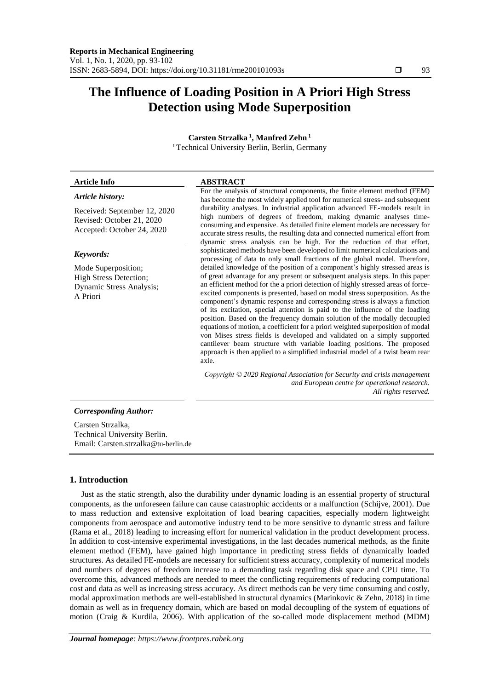# **The Influence of Loading Position in A Priori High Stress Detection using Mode Superposition**

**Carsten Strzalka <sup>1</sup> , Manfred Zehn <sup>1</sup>** <sup>1</sup>Technical University Berlin, Berlin, Germany

#### *Article history:*

Received: September 12, 2020 Revised: October 21, 2020

#### *Keywords:*

Mode Superposition; High Stress Detection; Dynamic Stress Analysis; A Priori

Accepted: October 24, 2020

#### **Article Info ABSTRACT**

For the analysis of structural components, the finite element method (FEM) has become the most widely applied tool for numerical stress- and subsequent durability analyses. In industrial application advanced FE-models result in high numbers of degrees of freedom, making dynamic analyses timeconsuming and expensive. As detailed finite element models are necessary for accurate stress results, the resulting data and connected numerical effort from dynamic stress analysis can be high. For the reduction of that effort, sophisticated methods have been developed to limit numerical calculations and processing of data to only small fractions of the global model. Therefore, detailed knowledge of the position of a component's highly stressed areas is of great advantage for any present or subsequent analysis steps. In this paper an efficient method for the a priori detection of highly stressed areas of forceexcited components is presented, based on modal stress superposition. As the component's dynamic response and corresponding stress is always a function of its excitation, special attention is paid to the influence of the loading position. Based on the frequency domain solution of the modally decoupled equations of motion, a coefficient for a priori weighted superposition of modal von Mises stress fields is developed and validated on a simply supported cantilever beam structure with variable loading positions. The proposed approach is then applied to a simplified industrial model of a twist beam rear axle.

*Copyright © 2020 Regional Association for Security and crisis management and European centre for operational research. All rights reserved.*

# *Corresponding Author:*

Carsten Strzalka, Technical University Berlin. Email: Carsten.strzalka@tu-berlin.de

# **1. Introduction**

Just as the static strength, also the durability under dynamic loading is an essential property of structural components, as the unforeseen failure can cause catastrophic accidents or a malfunction (Schijve, 2001). Due to mass reduction and extensive exploitation of load bearing capacities, especially modern lightweight components from aerospace and automotive industry tend to be more sensitive to dynamic stress and failure (Rama et al., 2018) leading to increasing effort for numerical validation in the product development process. In addition to cost-intensive experimental investigations, in the last decades numerical methods, as the finite element method (FEM), have gained high importance in predicting stress fields of dynamically loaded structures. As detailed FE-models are necessary for sufficient stress accuracy, complexity of numerical models and numbers of degrees of freedom increase to a demanding task regarding disk space and CPU time. To overcome this, advanced methods are needed to meet the conflicting requirements of reducing computational cost and data as well as increasing stress accuracy. As direct methods can be very time consuming and costly, modal approximation methods are well-established in structural dynamics (Marinkovic & Zehn, 2018) in time domain as well as in frequency domain, which are based on modal decoupling of the system of equations of motion (Craig & Kurdila, 2006). With application of the so-called mode displacement method (MDM)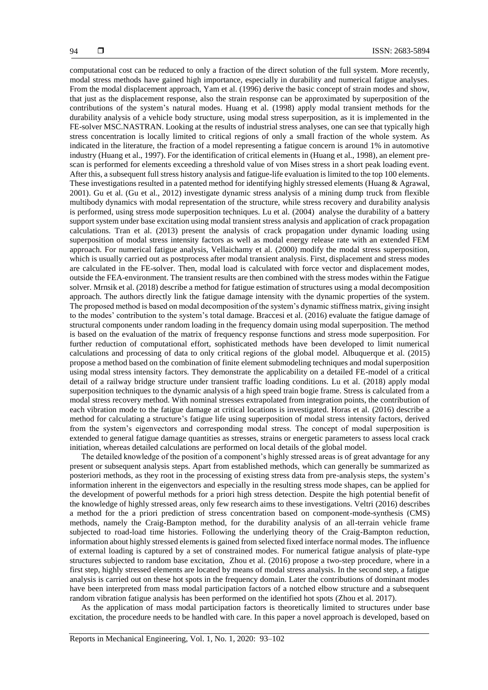computational cost can be reduced to only a fraction of the direct solution of the full system. More recently, modal stress methods have gained high importance, especially in durability and numerical fatigue analyses. From the modal displacement approach, Yam et al. (1996) derive the basic concept of strain modes and show, that just as the displacement response, also the strain response can be approximated by superposition of the contributions of the system's natural modes. Huang et al. (1998) apply modal transient methods for the durability analysis of a vehicle body structure, using modal stress superposition, as it is implemented in the FE-solver MSC.NASTRAN. Looking at the results of industrial stress analyses, one can see that typically high stress concentration is locally limited to critical regions of only a small fraction of the whole system. As indicated in the literature, the fraction of a model representing a fatigue concern is around 1% in automotive industry (Huang et al., 1997). For the identification of critical elements in (Huang et al., 1998), an element prescan is performed for elements exceeding a threshold value of von Mises stress in a short peak loading event. After this, a subsequent full stress history analysis and fatigue-life evaluation is limited to the top 100 elements. These investigations resulted in a patented method for identifying highly stressed elements (Huang & Agrawal, 2001). Gu et al. (Gu et al., 2012) investigate dynamic stress analysis of a mining dump truck from flexible multibody dynamics with modal representation of the structure, while stress recovery and durability analysis is performed, using stress mode superposition techniques. Lu et al. (2004) analyse the durability of a battery support system under base excitation using modal transient stress analysis and application of crack propagation calculations. Tran et al. (2013) present the analysis of crack propagation under dynamic loading using superposition of modal stress intensity factors as well as modal energy release rate with an extended FEM approach. For numerical fatigue analysis, Vellaichamy et al. (2000) modify the modal stress superposition, which is usually carried out as postprocess after modal transient analysis. First, displacement and stress modes are calculated in the FE-solver. Then, modal load is calculated with force vector and displacement modes, outside the FEA-environment. The transient results are then combined with the stress modes within the Fatigue solver. Mrnsik et al. (2018) describe a method for fatigue estimation of structures using a modal decomposition approach. The authors directly link the fatigue damage intensity with the dynamic properties of the system. The proposed method is based on modal decomposition of the system's dynamic stiffness matrix, giving insight to the modes' contribution to the system's total damage. Braccesi et al. (2016) evaluate the fatigue damage of structural components under random loading in the frequency domain using modal superposition. The method is based on the evaluation of the matrix of frequency response functions and stress mode superposition. For further reduction of computational effort, sophisticated methods have been developed to limit numerical calculations and processing of data to only critical regions of the global model. Albuquerque et al. (2015) propose a method based on the combination of finite element submodeling techniques and modal superposition using modal stress intensity factors. They demonstrate the applicability on a detailed FE-model of a critical detail of a railway bridge structure under transient traffic loading conditions. Lu et al. (2018) apply modal superposition techniques to the dynamic analysis of a high speed train bogie frame. Stress is calculated from a modal stress recovery method. With nominal stresses extrapolated from integration points, the contribution of each vibration mode to the fatigue damage at critical locations is investigated. Horas et al. (2016) describe a method for calculating a structure's fatigue life using superposition of modal stress intensity factors, derived from the system's eigenvectors and corresponding modal stress. The concept of modal superposition is extended to general fatigue damage quantities as stresses, strains or energetic parameters to assess local crack initiation, whereas detailed calculations are performed on local details of the global model.

The detailed knowledge of the position of a component's highly stressed areas is of great advantage for any present or subsequent analysis steps. Apart from established methods, which can generally be summarized as posteriori methods, as they root in the processing of existing stress data from pre-analysis steps, the system's information inherent in the eigenvectors and especially in the resulting stress mode shapes, can be applied for the development of powerful methods for a priori high stress detection. Despite the high potential benefit of the knowledge of highly stressed areas, only few research aims to these investigations. Veltri (2016) describes a method for the a priori prediction of stress concentration based on component-mode-synthesis (CMS) methods, namely the Craig-Bampton method, for the durability analysis of an all-terrain vehicle frame subjected to road-load time histories. Following the underlying theory of the Craig-Bampton reduction, information about highly stressed elements is gained from selected fixed interface normal modes. The influence of external loading is captured by a set of constrained modes. For numerical fatigue analysis of plate-type structures subjected to random base excitation, Zhou et al. (2016) propose a two-step procedure, where in a first step, highly stressed elements are located by means of modal stress analysis. In the second step, a fatigue analysis is carried out on these hot spots in the frequency domain. Later the contributions of dominant modes have been interpreted from mass modal participation factors of a notched elbow structure and a subsequent random vibration fatigue analysis has been performed on the identified hot spots (Zhou et al. 2017).

As the application of mass modal participation factors is theoretically limited to structures under base excitation, the procedure needs to be handled with care. In this paper a novel approach is developed, based on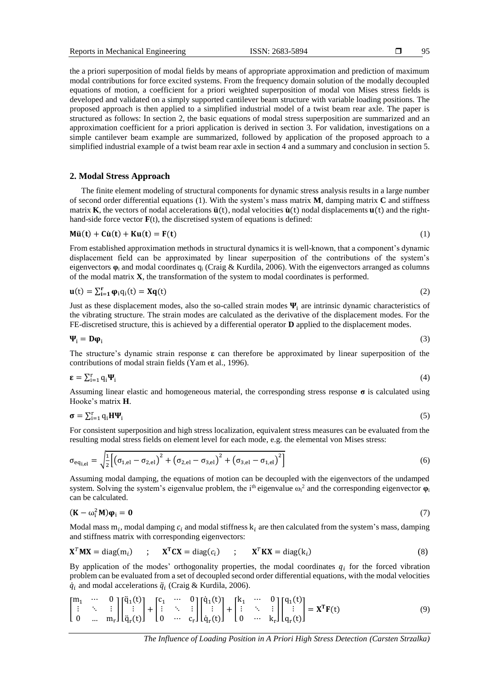the a priori superposition of modal fields by means of appropriate approximation and prediction of maximum modal contributions for force excited systems. From the frequency domain solution of the modally decoupled equations of motion, a coefficient for a priori weighted superposition of modal von Mises stress fields is developed and validated on a simply supported cantilever beam structure with variable loading positions. The proposed approach is then applied to a simplified industrial model of a twist beam rear axle. The paper is structured as follows: In section 2, the basic equations of modal stress superposition are summarized and an approximation coefficient for a priori application is derived in section 3. For validation, investigations on a simple cantilever beam example are summarized, followed by application of the proposed approach to a simplified industrial example of a twist beam rear axle in section 4 and a summary and conclusion in section 5.

# **2. Modal Stress Approach**

The finite element modeling of structural components for dynamic stress analysis results in a large number of second order differential equations (1). With the system's mass matrix **M**, damping matrix **C** and stiffness matrix **K**, the vectors of nodal accelerations  $\ddot{\mathbf{u}}(t)$ , nodal velocities  $\dot{\mathbf{u}}(t)$  nodal displacements  $\mathbf{u}(t)$  and the righthand-side force vector  $\mathbf{F}(t)$ , the discretised system of equations is defined:

$$
M\ddot{u}(t) + C\dot{u}(t) + Ku(t) = F(t)
$$
\n(1)

From established approximation methods in structural dynamics it is well-known, that a component's dynamic displacement field can be approximated by linear superposition of the contributions of the system's eigenvectors **φ**<sup>i</sup> and modal coordinates q<sup>i</sup> (Craig & Kurdila, 2006). With the eigenvectors arranged as columns of the modal matrix **X**, the transformation of the system to modal coordinates is performed.

$$
\mathbf{u}(t) = \sum_{i=1}^{r} \boldsymbol{\varphi}_i q_i(t) = \mathbf{X} \mathbf{q}(t)
$$
 (2)

Just as these displacement modes, also the so-called strain modes  $\Psi_i$  are intrinsic dynamic characteristics of the vibrating structure. The strain modes are calculated as the derivative of the displacement modes. For the FE-discretised structure, this is achieved by a differential operator **D** applied to the displacement modes.

$$
\Psi_{i} = D\phi_{i} \tag{3}
$$

The structure's dynamic strain response **ε** can therefore be approximated by linear superposition of the contributions of modal strain fields (Yam et al., 1996).

$$
\boldsymbol{\epsilon} = \sum_{i=1}^{r} q_i \boldsymbol{\Psi}_i \tag{4}
$$

Assuming linear elastic and homogeneous material, the corresponding stress response  $\sigma$  is calculated using Hooke's matrix **H**.

$$
\boldsymbol{\sigma} = \sum_{i=1}^{r} q_i \mathbf{H} \boldsymbol{\Psi}_i \tag{5}
$$

For consistent superposition and high stress localization, equivalent stress measures can be evaluated from the resulting modal stress fields on element level for each mode, e.g. the elemental von Mises stress:

$$
\sigma_{\text{eq}_{i,el}} = \sqrt{\frac{1}{2} \left[ \left( \sigma_{1,\text{el}} - \sigma_{2,\text{el}} \right)^2 + \left( \sigma_{2,\text{el}} - \sigma_{3,\text{el}} \right)^2 + \left( \sigma_{3,\text{el}} - \sigma_{1,\text{el}} \right)^2 \right]}
$$
(6)

Assuming modal damping, the equations of motion can be decoupled with the eigenvectors of the undamped system. Solving the system's eigenvalue problem, the i<sup>th</sup> eigenvalue ω<sub>i</sub><sup>2</sup> and the corresponding eigenvector  $\varphi$ <sub>i</sub> can be calculated.

$$
(\mathbf{K} - \omega_i^2 \mathbf{M}) \mathbf{\varphi}_i = \mathbf{0} \tag{7}
$$

Modal mass  $m_i$ , modal damping  $c_i$  and modal stiffness  $k_i$  are then calculated from the system's mass, damping and stiffness matrix with corresponding eigenvectors:

$$
\mathbf{X}^T \mathbf{M} \mathbf{X} = \text{diag}(m_i) \qquad ; \qquad \mathbf{X}^T \mathbf{C} \mathbf{X} = \text{diag}(c_i) \qquad ; \qquad \mathbf{X}^T \mathbf{K} \mathbf{X} = \text{diag}(k_i) \tag{8}
$$

By application of the modes' orthogonality properties, the modal coordinates  $q_i$  for the forced vibration problem can be evaluated from a set of decoupled second order differential equations, with the modal velocities  $\dot{q}_i$  and modal accelerations  $\ddot{q}_i$  (Craig & Kurdila, 2006).

$$
\begin{bmatrix} m_1 & \cdots & 0 \\ \vdots & \ddots & \vdots \\ 0 & \cdots & m_r \end{bmatrix} \begin{bmatrix} \ddot{q}_1(t) \\ \vdots \\ \ddot{q}_r(t) \end{bmatrix} + \begin{bmatrix} c_1 & \cdots & 0 \\ \vdots & \ddots & \vdots \\ 0 & \cdots & c_r \end{bmatrix} \begin{bmatrix} \dot{q}_1(t) \\ \vdots \\ \dot{q}_r(t) \end{bmatrix} + \begin{bmatrix} k_1 & \cdots & 0 \\ \vdots & \ddots & \vdots \\ 0 & \cdots & k_r \end{bmatrix} \begin{bmatrix} q_1(t) \\ \vdots \\ q_r(t) \end{bmatrix} = \mathbf{X}^T \mathbf{F}(t)
$$
 (9)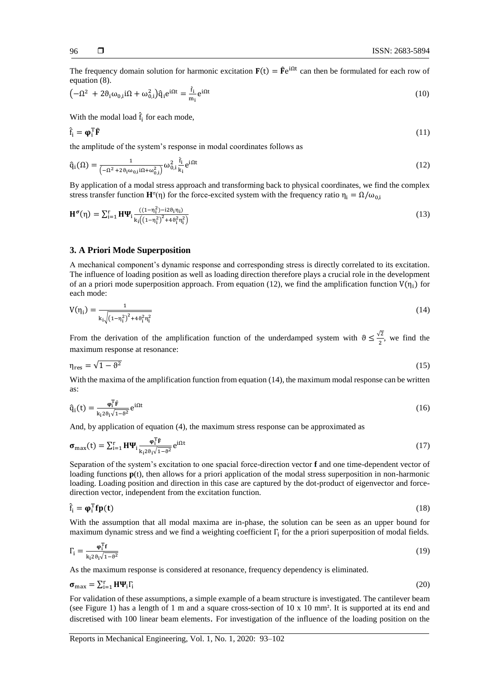The frequency domain solution for harmonic excitation  $F(t) = \hat{F}e^{i\Omega t}$  can then be formulated for each row of equation (8).

$$
\left(-\Omega^2 + 2\vartheta_i\omega_{0,i}i\Omega + \omega_{0,i}^2\right)\hat{q}_ie^{i\Omega t} = \frac{\hat{f}_i}{m_i}e^{i\Omega t}
$$
\n(10)

With the modal load  $\hat{f}_i$  for each mode,

$$
\hat{\mathbf{f}}_{i} = \boldsymbol{\phi}_{i}^{\mathrm{T}} \hat{\mathbf{F}} \tag{11}
$$

the amplitude of the system's response in modal coordinates follows as

$$
\hat{\mathbf{q}}_i(\Omega) = \frac{1}{\left(-\Omega^2 + 2\vartheta_i \omega_{0,i} i \Omega + \omega_{0,i}^2\right)} \omega_{0,i}^2 \frac{\hat{\mathbf{f}}_i}{\mathbf{k}_i} e^{i\Omega t}
$$
\n(12)

By application of a modal stress approach and transforming back to physical coordinates, we find the complex stress transfer function  $\mathbf{H}^{\sigma}(\eta)$  for the force-excited system with the frequency ratio  $\eta_i = \Omega/\omega_{0,i}$ 

$$
\mathbf{H}^{\sigma}(\eta) = \sum_{i=1}^{r} \mathbf{H} \mathbf{\Psi}_{i} \frac{((1-\eta_{i}^{2})-i2\theta_{i}\eta_{i})}{k_{i}((1-\eta_{i}^{2})^{2}+4\theta_{i}^{2}\eta_{i}^{2})}
$$
(13)

# **3. A Priori Mode Superposition**

A mechanical component's dynamic response and corresponding stress is directly correlated to its excitation. The influence of loading position as well as loading direction therefore plays a crucial role in the development of an a priori mode superposition approach. From equation (12), we find the amplification function  $V(\eta_i)$  for each mode:

$$
V(\eta_i) = \frac{1}{k_i \sqrt{(1 - \eta_i^2)^2 + 4\theta_i^2 \eta_i^2}}
$$
(14)

From the derivation of the amplification function of the underdamped system with  $\theta \leq \frac{\sqrt{2}}{2}$  $\frac{\sqrt{2}}{2}$ , we find the maximum response at resonance:

$$
\eta_{\rm res} = \sqrt{1 - \vartheta^2} \tag{15}
$$

With the maxima of the amplification function from equation (14), the maximum modal response can be written as:

$$
\hat{q}_i(t) = \frac{\varphi_i^T \hat{F}}{k_i 2\theta_i \sqrt{1-\theta^2}} e^{i\Omega t}
$$
\n(16)

And, by application of equation (4), the maximum stress response can be approximated as

$$
\boldsymbol{\sigma}_{\text{max}}(t) = \sum_{i=1}^{r} \mathbf{H} \boldsymbol{\Psi}_i \frac{\boldsymbol{\varphi}_i^{\text{T}} \boldsymbol{\mathsf{f}}}{k_i 2 \theta_i \sqrt{1 - \theta^2}} e^{i \Omega t}
$$
(17)

Separation of the system's excitation to one spacial force-direction vector **f** and one time-dependent vector of loading functions **p**(t), then allows for a priori application of the modal stress superposition in non-harmonic loading. Loading position and direction in this case are captured by the dot-product of eigenvector and forcedirection vector, independent from the excitation function.

$$
\hat{\mathbf{f}}_i = \boldsymbol{\varphi}_i^{\mathrm{T}} \mathbf{f} \mathbf{p}(\mathbf{t}) \tag{18}
$$

With the assumption that all modal maxima are in-phase, the solution can be seen as an upper bound for maximum dynamic stress and we find a weighting coefficient Γ<sub>i</sub> for the a priori superposition of modal fields.

$$
\Gamma_{\mathbf{i}} = \frac{\boldsymbol{\varphi}_{\mathbf{i}}^{\mathrm{T}} \mathbf{f}}{\mathbf{k}_{\mathbf{i}} 2 \boldsymbol{\vartheta}_{\mathbf{i}} \sqrt{1 - \boldsymbol{\vartheta}^2}} \tag{19}
$$

As the maximum response is considered at resonance, frequency dependency is eliminated.

$$
\boldsymbol{\sigma}_{\text{max}} = \sum_{i=1}^{r} \mathbf{H} \boldsymbol{\Psi}_i \boldsymbol{\Gamma}_i \tag{20}
$$

For validation of these assumptions, a simple example of a beam structure is investigated. The cantilever beam (see Figure 1) has a length of 1 m and a square cross-section of 10 x 10 mm². It is supported at its end and discretised with 100 linear beam elements. For investigation of the influence of the loading position on the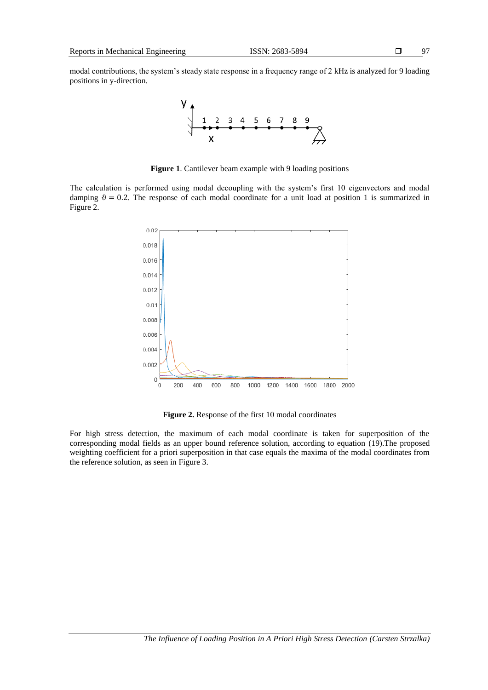

**Figure 1**. Cantilever beam example with 9 loading positions

The calculation is performed using modal decoupling with the system's first 10 eigenvectors and modal damping  $\theta = 0.2$ . The response of each modal coordinate for a unit load at position 1 is summarized in Figure 2.



**Figure 2.** Response of the first 10 modal coordinates

For high stress detection, the maximum of each modal coordinate is taken for superposition of the corresponding modal fields as an upper bound reference solution, according to equation (19).The proposed weighting coefficient for a priori superposition in that case equals the maxima of the modal coordinates from the reference solution, as seen in Figure 3.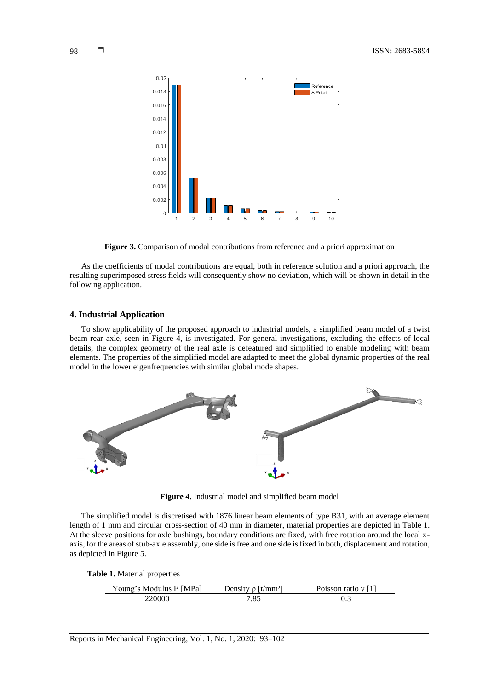

**Figure 3.** Comparison of modal contributions from reference and a priori approximation

As the coefficients of modal contributions are equal, both in reference solution and a priori approach, the resulting superimposed stress fields will consequently show no deviation, which will be shown in detail in the following application.

## **4. Industrial Application**

To show applicability of the proposed approach to industrial models, a simplified beam model of a twist beam rear axle, seen in Figure 4, is investigated. For general investigations, excluding the effects of local details, the complex geometry of the real axle is defeatured and simplified to enable modeling with beam elements. The properties of the simplified model are adapted to meet the global dynamic properties of the real model in the lower eigenfrequencies with similar global mode shapes.



**Figure 4.** Industrial model and simplified beam model

The simplified model is discretised with 1876 linear beam elements of type B31, with an average element length of 1 mm and circular cross-section of 40 mm in diameter, material properties are depicted in Table 1. At the sleeve positions for axle bushings, boundary conditions are fixed, with free rotation around the local xaxis, for the areas of stub-axle assembly, one side is free and one side is fixed in both, displacement and rotation, as depicted in Figure 5.

**Table 1.** Material properties

| Young's Modulus E [MPa] | Density $\rho$  t/mm <sup>3</sup> | Poisson ratio $v[1]$ |
|-------------------------|-----------------------------------|----------------------|
| 20000-                  | $.8^{\circ}$                      |                      |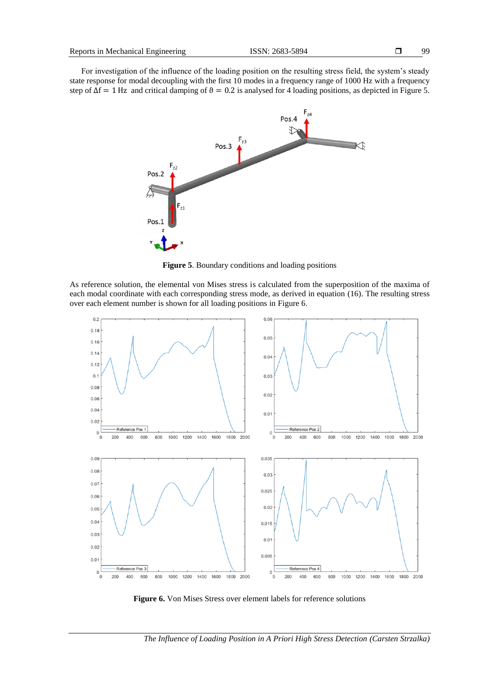For investigation of the influence of the loading position on the resulting stress field, the system's steady state response for modal decoupling with the first 10 modes in a frequency range of 1000 Hz with a frequency step of  $\Delta f = 1$  Hz and critical damping of  $\theta = 0.2$  is analysed for 4 loading positions, as depicted in Figure 5.



**Figure 5**. Boundary conditions and loading positions

As reference solution, the elemental von Mises stress is calculated from the superposition of the maxima of each modal coordinate with each corresponding stress mode, as derived in equation (16). The resulting stress over each element number is shown for all loading positions in Figure 6.



**Figure 6.** Von Mises Stress over element labels for reference solutions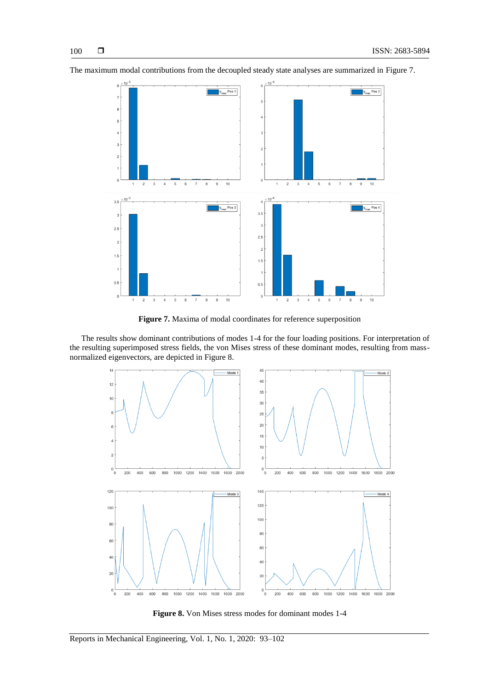

The maximum modal contributions from the decoupled steady state analyses are summarized in Figure 7.

**Figure 7.** Maxima of modal coordinates for reference superposition

The results show dominant contributions of modes 1-4 for the four loading positions. For interpretation of the resulting superimposed stress fields, the von Mises stress of these dominant modes, resulting from massnormalized eigenvectors, are depicted in Figure 8.



**Figure 8.** Von Mises stress modes for dominant modes 1-4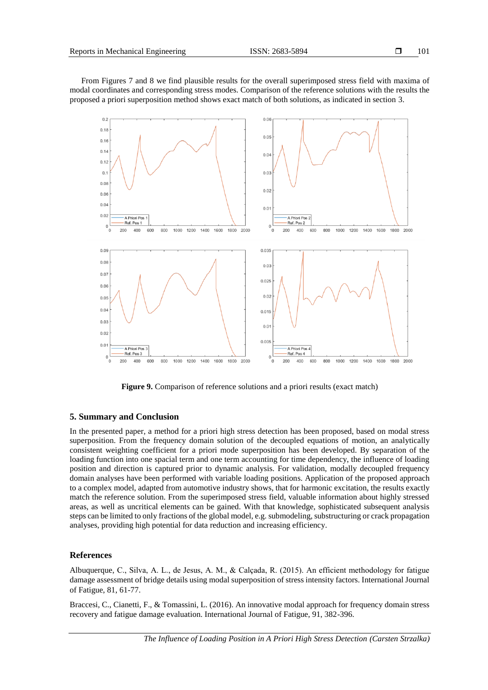From Figures 7 and 8 we find plausible results for the overall superimposed stress field with maxima of modal coordinates and corresponding stress modes. Comparison of the reference solutions with the results the proposed a priori superposition method shows exact match of both solutions, as indicated in section 3.



**Figure 9.** Comparison of reference solutions and a priori results (exact match)

## **5. Summary and Conclusion**

In the presented paper, a method for a priori high stress detection has been proposed, based on modal stress superposition. From the frequency domain solution of the decoupled equations of motion, an analytically consistent weighting coefficient for a priori mode superposition has been developed. By separation of the loading function into one spacial term and one term accounting for time dependency, the influence of loading position and direction is captured prior to dynamic analysis. For validation, modally decoupled frequency domain analyses have been performed with variable loading positions. Application of the proposed approach to a complex model, adapted from automotive industry shows, that for harmonic excitation, the results exactly match the reference solution. From the superimposed stress field, valuable information about highly stressed areas, as well as uncritical elements can be gained. With that knowledge, sophisticated subsequent analysis steps can be limited to only fractions of the global model, e.g. submodeling, substructuring or crack propagation analyses, providing high potential for data reduction and increasing efficiency.

# **References**

Albuquerque, C., Silva, A. L., de Jesus, A. M., & Calçada, R. (2015). An efficient methodology for fatigue damage assessment of bridge details using modal superposition of stress intensity factors. International Journal of Fatigue, 81, 61-77.

Braccesi, C., Cianetti, F., & Tomassini, L. (2016). An innovative modal approach for frequency domain stress recovery and fatigue damage evaluation. International Journal of Fatigue, 91, 382-396.